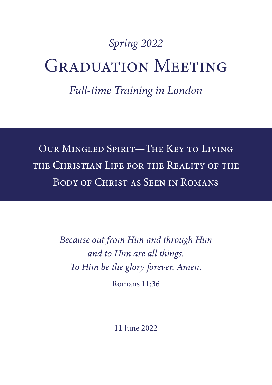# *Spring 2022* GRADUATION MEETING

*Full-time Training in London*

Our Mingled Spirit—The Key to Living the Christian Life for the Reality of the Body of Christ as Seen in Romans

> *Because out from Him and through Him and to Him are all things. To Him be the glory forever. Amen.*

> > Romans 11:36

11 June 2022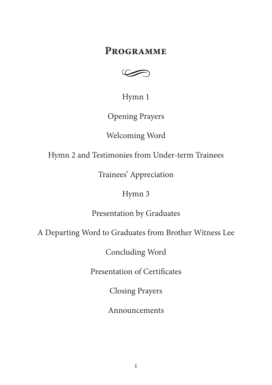# **Programme**



Hymn 1

Opening Prayers

Welcoming Word

Hymn 2 and Testimonies from Under-term Trainees

Trainees' Appreciation

## Hymn 3

Presentation by Graduates

A Departing Word to Graduates from Brother Witness Lee

Concluding Word

Presentation of Certificates

Closing Prayers

Announcements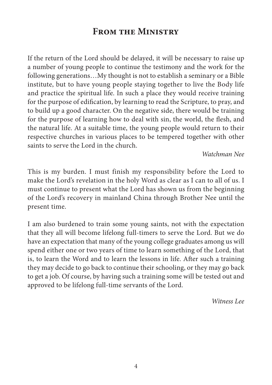# **From the Ministry**

If the return of the Lord should be delayed, it will be necessary to raise up a number of young people to continue the testimony and the work for the following generations…My thought is not to establish a seminary or a Bible institute, but to have young people staying together to live the Body life and practice the spiritual life. In such a place they would receive training for the purpose of edification, by learning to read the Scripture, to pray, and to build up a good character. On the negative side, there would be training for the purpose of learning how to deal with sin, the world, the flesh, and the natural life. At a suitable time, the young people would return to their respective churches in various places to be tempered together with other saints to serve the Lord in the church.

*Watchman Nee*

This is my burden. I must finish my responsibility before the Lord to make the Lord's revelation in the holy Word as clear as I can to all of us. I must continue to present what the Lord has shown us from the beginning of the Lord's recovery in mainland China through Brother Nee until the present time.

I am also burdened to train some young saints, not with the expectation that they all will become lifelong full-timers to serve the Lord. But we do have an expectation that many of the young college graduates among us will spend either one or two years of time to learn something of the Lord, that is, to learn the Word and to learn the lessons in life. After such a training they may decide to go back to continue their schooling, or they may go back to get a job. Of course, by having such a training some will be tested out and approved to be lifelong full-time servants of the Lord.

*Witness Lee*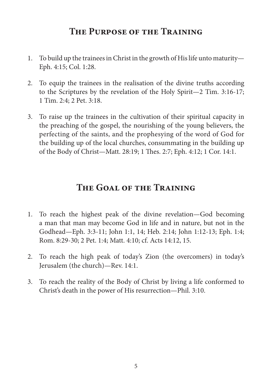# **The Purpose of the Training**

- 1. To build up the trainees in Christ in the growth of His life unto maturity— Eph. 4:15; Col. 1:28.
- 2. To equip the trainees in the realisation of the divine truths according to the Scriptures by the revelation of the Holy Spirit—2 Tim. 3:16-17; 1 Tim. 2:4; 2 Pet. 3:18.
- 3. To raise up the trainees in the cultivation of their spiritual capacity in the preaching of the gospel, the nourishing of the young believers, the perfecting of the saints, and the prophesying of the word of God for the building up of the local churches, consummating in the building up of the Body of Christ—Matt. 28:19; 1 Thes. 2:7; Eph. 4:12; 1 Cor. 14:1.

## **The Goal of the Training**

- 1. To reach the highest peak of the divine revelation—God becoming a man that man may become God in life and in nature, but not in the Godhead—Eph. 3:3-11; John 1:1, 14; Heb. 2:14; John 1:12-13; Eph. 1:4; Rom. 8:29-30; 2 Pet. 1:4; Matt. 4:10; cf. Acts 14:12, 15.
- 2. To reach the high peak of today's Zion (the overcomers) in today's Jerusalem (the church)—Rev. 14:1.
- 3. To reach the reality of the Body of Christ by living a life conformed to Christ's death in the power of His resurrection—Phil. 3:10.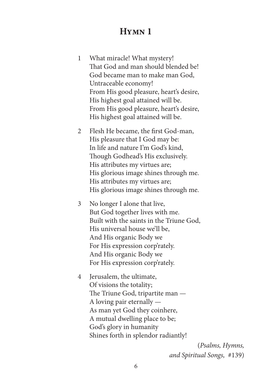## **Hymn 1**

- 1 What miracle! What mystery! That God and man should blended be! God became man to make man God, Untraceable economy! From His good pleasure, heart's desire, His highest goal attained will be. From His good pleasure, heart's desire, His highest goal attained will be.
- 2 Flesh He became, the first God-man, His pleasure that I God may be: In life and nature I'm God's kind, Though Godhead's His exclusively. His attributes my virtues are; His glorious image shines through me. His attributes my virtues are; His glorious image shines through me.
- 3 No longer I alone that live, But God together lives with me. Built with the saints in the Triune God, His universal house we'll be, And His organic Body we For His expression corp'rately. And His organic Body we For His expression corp'rately.
- 4 Jerusalem, the ultimate, Of visions the totality; The Triune God, tripartite man — A loving pair eternally — As man yet God they coinhere, A mutual dwelling place to be; God's glory in humanity Shines forth in splendor radiantly!

(*Psalms, Hymns, and Spiritual Songs,* #139)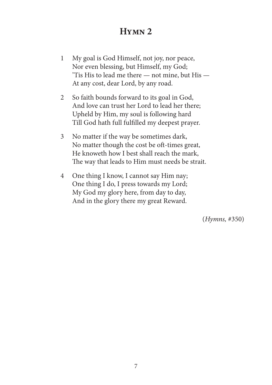# **Hymn 2**

- 1 My goal is God Himself, not joy, nor peace, Nor even blessing, but Himself, my God; 'Tis His to lead me there — not mine, but His — At any cost, dear Lord, by any road.
- 2 So faith bounds forward to its goal in God, And love can trust her Lord to lead her there; Upheld by Him, my soul is following hard Till God hath full fulfilled my deepest prayer.
- 3 No matter if the way be sometimes dark, No matter though the cost be oft-times great, He knoweth how I best shall reach the mark, The way that leads to Him must needs be strait.
- 4 One thing I know, I cannot say Him nay; One thing I do, I press towards my Lord; My God my glory here, from day to day, And in the glory there my great Reward.

(*Hymns,* #350)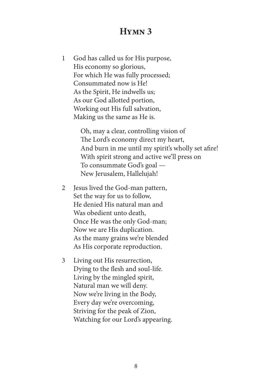## **Hymn 3**

1 God has called us for His purpose, His economy so glorious, For which He was fully processed; Consummated now is He! As the Spirit, He indwells us; As our God allotted portion, Working out His full salvation, Making us the same as He is.

> Oh, may a clear, controlling vision of The Lord's economy direct my heart, And burn in me until my spirit's wholly set afire! With spirit strong and active we'll press on To consummate God's goal — New Jerusalem, Hallelujah!

- 2 Jesus lived the God-man pattern, Set the way for us to follow, He denied His natural man and Was obedient unto death, Once He was the only God-man; Now we are His duplication. As the many grains we're blended As His corporate reproduction.
- 3 Living out His resurrection, Dying to the flesh and soul-life. Living by the mingled spirit, Natural man we will deny. Now we're living in the Body, Every day we're overcoming, Striving for the peak of Zion, Watching for our Lord's appearing.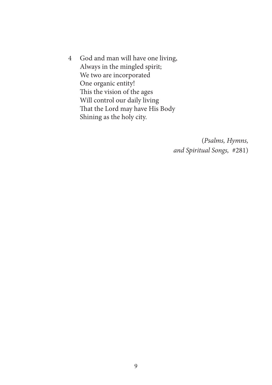4 God and man will have one living, Always in the mingled spirit; We two are incorporated One organic entity! This the vision of the ages Will control our daily living That the Lord may have His Body Shining as the holy city.

> (*Psalms, Hymns, and Spiritual Songs,* #281)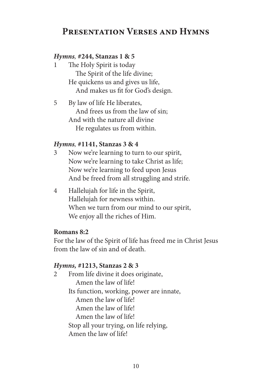# **Presentation Verses and Hymns**

#### *Hymns,* **#244, Stanzas 1 & 5**

- 1 The Holy Spirit is today The Spirit of the life divine; He quickens us and gives us life, And makes us fit for God's design.
- 5 By law of life He liberates, And frees us from the law of sin; And with the nature all divine He regulates us from within.

#### *Hymns,* **#1141, Stanzas 3 & 4**

- 3 Now we're learning to turn to our spirit, Now we're learning to take Christ as life; Now we're learning to feed upon Jesus And be freed from all struggling and strife.
- 4 Hallelujah for life in the Spirit, Hallelujah for newness within. When we turn from our mind to our spirit, We enjoy all the riches of Him.

#### **Romans 8:2**

For the law of the Spirit of life has freed me in Christ Jesus from the law of sin and of death.

#### *Hymns,* **#1213, Stanzas 2 & 3**

2 From life divine it does originate, Amen the law of life! Its function, working, power are innate, Amen the law of life! Amen the law of life! Amen the law of life! Stop all your trying, on life relying, Amen the law of life!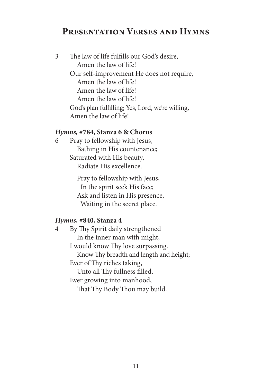## **Presentation Verses and Hymns**

| 3 | The law of life fulfills our God's desire,       |
|---|--------------------------------------------------|
|   | Amen the law of life!                            |
|   | Our self-improvement He does not require,        |
|   | Amen the law of life!                            |
|   | Amen the law of life!                            |
|   | Amen the law of life!                            |
|   | God's plan fulfilling; Yes, Lord, we're willing, |
|   | Amen the law of life!                            |
|   |                                                  |

#### *Hymns,* **#784, Stanza 6 & Chorus**

6 Pray to fellowship with Jesus, Bathing in His countenance; Saturated with His beauty, Radiate His excellence.

> Pray to fellowship with Jesus, In the spirit seek His face; Ask and listen in His presence, Waiting in the secret place.

#### *Hymns,* **#840, Stanza 4**

4 By Thy Spirit daily strengthened In the inner man with might, I would know Thy love surpassing. Know Thy breadth and length and height; Ever of Thy riches taking, Unto all Thy fullness filled, Ever growing into manhood, That Thy Body Thou may build.